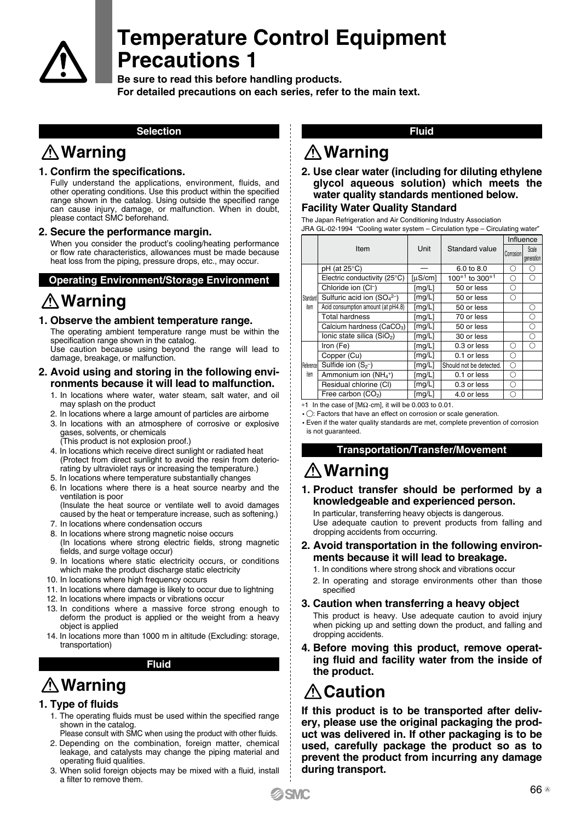

**Be sure to read this before handling products. For detailed precautions on each series, refer to the main text.**

#### **Selection**

## **Warning**

#### **1. Confirm the specifications.**

Fully understand the applications, environment, fluids, and other operating conditions. Use this product within the specified range shown in the catalog. Using outside the specified range can cause injury, damage, or malfunction. When in doubt, please contact SMC beforehand.

#### **2. Secure the performance margin.**

When you consider the product's cooling/heating performance or flow rate characteristics, allowances must be made because heat loss from the piping, pressure drops, etc., may occur.

#### **Operating Environment/Storage Environment**

## **Warning**

#### **1. Observe the ambient temperature range.**

The operating ambient temperature range must be within the specification range shown in the catalog.

Use caution because using beyond the range will lead to damage, breakage, or malfunction.

#### **2. Avoid using and storing in the following environments because it will lead to malfunction.**

- 1. In locations where water, water steam, salt water, and oil may splash on the product
- 2. In locations where a large amount of particles are airborne
- 3. In locations with an atmosphere of corrosive or explosive gases, solvents, or chemicals

(This product is not explosion proof.)

- 4. In locations which receive direct sunlight or radiated heat (Protect from direct sunlight to avoid the resin from deteriorating by ultraviolet rays or increasing the temperature.)
- 5. In locations where temperature substantially changes
- 6. In locations where there is a heat source nearby and the ventilation is poor (Insulate the heat source or ventilate well to avoid damages

caused by the heat or temperature increase, such as softening.)

- 7. In locations where condensation occurs
- 8. In locations where strong magnetic noise occurs (In locations where strong electric fields, strong magnetic fields, and surge voltage occur)
- 9. In locations where static electricity occurs, or conditions which make the product discharge static electricity
- 10. In locations where high frequency occurs
- 11. In locations where damage is likely to occur due to lightning
- 12. In locations where impacts or vibrations occur
- 13. In conditions where a massive force strong enough to deform the product is applied or the weight from a heavy object is applied
- 14. In locations more than 1000 m in altitude (Excluding: storage, transportation)

#### **Fluid**

## **Warning**

#### **1. Type of fluids**

- 1. The operating fluids must be used within the specified range shown in the catalog.
- Please consult with SMC when using the product with other fluids. 2. Depending on the combination, foreign matter, chemical
- leakage, and catalysts may change the piping material and operating fluid qualities.
- 3. When solid foreign objects may be mixed with a fluid, install a filter to remove them.

#### **Fluid**

### **Warning**

#### **2. Use clear water (including for diluting ethylene glycol aqueous solution) which meets the water quality standards mentioned below.**

#### **Facility Water Quality Standard**

The Japan Refrigeration and Air Conditioning Industry Association JRA GL-02-1994 "Cooling water system – Circulation type – Circulating water"

|                   |                                    | Unit    | Standard value                         | Influence |                     |
|-------------------|------------------------------------|---------|----------------------------------------|-----------|---------------------|
|                   | Item                               |         |                                        | Corrosion | Scale<br>generation |
| Standard<br>item  | $pH$ (at 25 $\degree$ C)           |         | 6.0 to 8.0                             | Ω         | ∩                   |
|                   | Electric conductivity (25°C)       | [µS/cm] | 100 <sup>*1</sup> to 300 <sup>*1</sup> | Ω         | Ω                   |
|                   | Chloride ion (CI-)                 | [mg/L]  | 50 or less                             | Ω         |                     |
|                   | Sulfuric acid ion $(SO_4^{2-})$    | [mg/L]  | 50 or less                             | Ω         |                     |
|                   | Acid consumption amount (at pH4.8) | [mg/L]  | 50 or less                             |           | ∩                   |
|                   | <b>Total hardness</b>              | [mg/L]  | 70 or less                             |           | ∩                   |
|                   | Calcium hardness ( $CaCO3$ )       | [mg/L]  | 50 or less                             |           | Ο                   |
|                   | Ionic state silica $(SiO2)$        | [mg/L]  | 30 or less                             |           | Ω                   |
| Reference<br>item | Iron (Fe)                          | [mg/L]  | 0.3 or less                            | ∩         | ∩                   |
|                   | Copper (Cu)                        | [mg/L]  | 0.1 or less                            | Ω         |                     |
|                   | Sulfide ion $(S_{2})$              | [mg/L]  | Should not be detected.                | Ω         |                     |
|                   | Ammonium ion $(NH_4^+)$            | [mg/L]  | 0.1 or less                            | Ω         |                     |
|                   | Residual chlorine (CI)             | [mg/L]  | 0.3 or less                            | Ω         |                     |
|                   | Free carbon (CO <sub>2</sub> )     | [mg/L]  | 4.0 or less                            | ∩         |                     |

∗1 In the case of [MΩ·cm], it will be 0.003 to 0.01.

 $\cdot$   $\bigcirc$ : Factors that have an effect on corrosion or scale generation.

 Even if the water quality standards are met, complete prevention of corrosion is not guaranteed.

#### **Transportation/Transfer/Movement**

## **Warning**

**1. Product transfer should be performed by a knowledgeable and experienced person.** 

In particular, transferring heavy objects is dangerous. Use adequate caution to prevent products from falling and dropping accidents from occurring.

- **2. Avoid transportation in the following environments because it will lead to breakage.** 
	- 1. In conditions where strong shock and vibrations occur
	- 2. In operating and storage environments other than those specified
- **3. Caution when transferring a heavy object**  This product is heavy. Use adequate caution to avoid injury when picking up and setting down the product, and falling and dropping accidents.
- **4. Before moving this product, remove operating fluid and facility water from the inside of the product.**

# **Caution**

**If this product is to be transported after delivery, please use the original packaging the product was delivered in. If other packaging is to be used, carefully package the product so as to prevent the product from incurring any damage during transport.**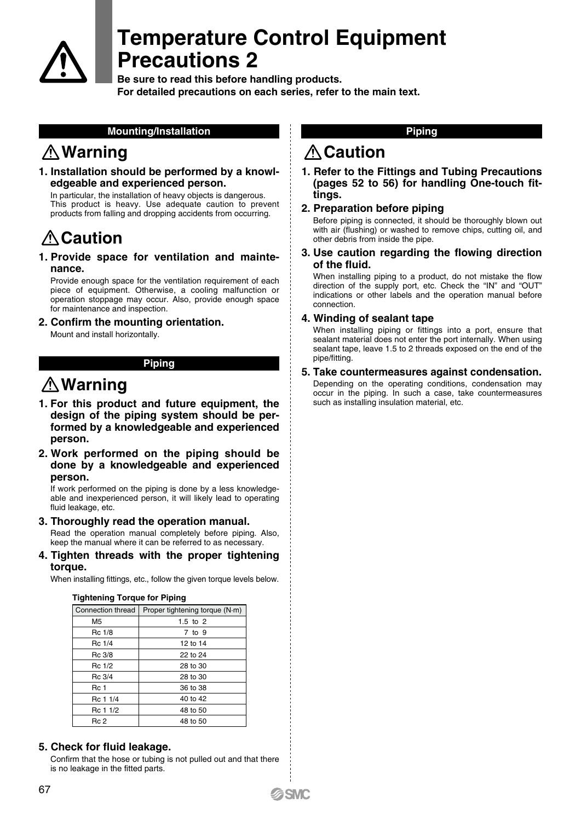

**Be sure to read this before handling products. For detailed precautions on each series, refer to the main text.**

#### **Mounting/Installation**

## **Warning**

**1. Installation should be performed by a knowledgeable and experienced person.**

In particular, the installation of heavy objects is dangerous. This product is heavy. Use adequate caution to prevent products from falling and dropping accidents from occurring.

# **∆Caution**

**1. Provide space for ventilation and maintenance.** 

Provide enough space for the ventilation requirement of each piece of equipment. Otherwise, a cooling malfunction or operation stoppage may occur. Also, provide enough space for maintenance and inspection.

**2. Confirm the mounting orientation.**  Mount and install horizontally.

#### **Piping**

### **Warning**

- **1. For this product and future equipment, the design of the piping system should be performed by a knowledgeable and experienced person.**
- **2. Work performed on the piping should be done by a knowledgeable and experienced person.**

If work performed on the piping is done by a less knowledgeable and inexperienced person, it will likely lead to operating fluid leakage, etc.

- **3. Thoroughly read the operation manual.**  Read the operation manual completely before piping. Also, keep the manual where it can be referred to as necessary.
- **4. Tighten threads with the proper tightening torque.**

When installing fittings, etc., follow the given torque levels below.

| <b>Tightening Torque for Piping</b> |  |  |  |
|-------------------------------------|--|--|--|
|-------------------------------------|--|--|--|

| Connection thread | Proper tightening torque (N·m) |  |  |
|-------------------|--------------------------------|--|--|
| M <sub>5</sub>    | $1.5$ to $2$                   |  |  |
| Rc 1/8            | 7 to 9                         |  |  |
| Rc 1/4            | 12 to 14                       |  |  |
| Rc 3/8            | 22 to 24                       |  |  |
| Rc 1/2            | 28 to 30                       |  |  |
| Rc 3/4            | 28 to 30                       |  |  |
| <b>Rc</b> 1       | 36 to 38                       |  |  |
| Rc 1 1/4          | 40 to 42                       |  |  |
| Rc 1 1/2          | 48 to 50                       |  |  |
| Rc 2              | 48 to 50                       |  |  |

#### **5. Check for fluid leakage.**

Confirm that the hose or tubing is not pulled out and that there is no leakage in the fitted parts.

#### **Piping**

### **A** Caution

- **1. Refer to the Fittings and Tubing Precautions (pages 52 to 56) for handling One-touch fittings.**
- **2. Preparation before piping**

Before piping is connected, it should be thoroughly blown out with air (flushing) or washed to remove chips, cutting oil, and other debris from inside the pipe.

**3. Use caution regarding the flowing direction of the fluid.** 

When installing piping to a product, do not mistake the flow direction of the supply port, etc. Check the "IN" and "OUT" indications or other labels and the operation manual before connection.

#### **4. Winding of sealant tape**

When installing piping or fittings into a port, ensure that sealant material does not enter the port internally. When using sealant tape, leave 1.5 to 2 threads exposed on the end of the pipe/fitting.

**5. Take countermeasures against condensation.** 

Depending on the operating conditions, condensation may occur in the piping. In such a case, take countermeasures such as installing insulation material, etc.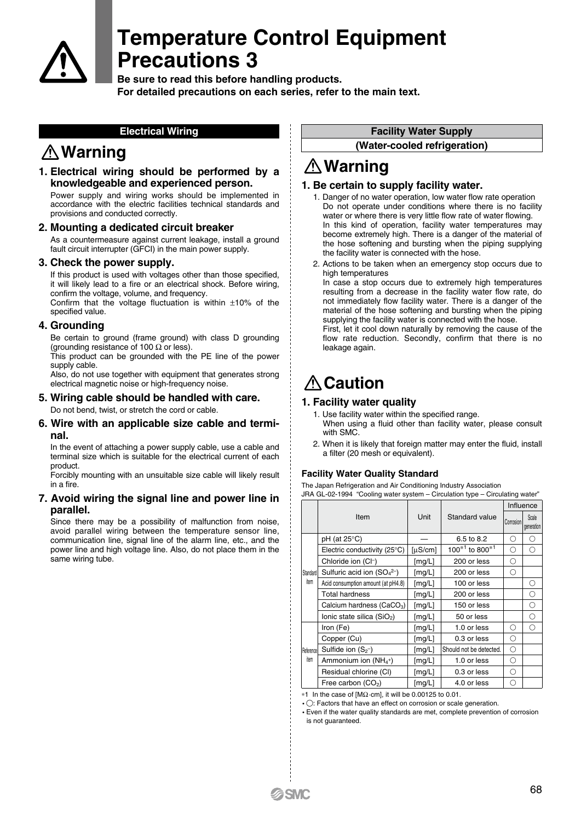

**Be sure to read this before handling products. For detailed precautions on each series, refer to the main text.**

#### **Electrical Wiring**

### **Warning**

**1. Electrical wiring should be performed by a knowledgeable and experienced person.** 

Power supply and wiring works should be implemented in accordance with the electric facilities technical standards and provisions and conducted correctly.

#### **2. Mounting a dedicated circuit breaker**

As a countermeasure against current leakage, install a ground fault circuit interrupter (GFCI) in the main power supply.

#### **3. Check the power supply.**

If this product is used with voltages other than those specified, it will likely lead to a fire or an electrical shock. Before wiring, confirm the voltage, volume, and frequency.

Confirm that the voltage fluctuation is within  $\pm 10\%$  of the specified value.

#### **4. Grounding**

Be certain to ground (frame ground) with class D grounding (grounding resistance of 100  $\Omega$  or less).

This product can be grounded with the PE line of the power supply cable.

Also, do not use together with equipment that generates strong electrical magnetic noise or high-frequency noise.

### **5. Wiring cable should be handled with care.**

Do not bend, twist, or stretch the cord or cable.

#### **6. Wire with an applicable size cable and terminal.**

In the event of attaching a power supply cable, use a cable and terminal size which is suitable for the electrical current of each product.

Forcibly mounting with an unsuitable size cable will likely result in a fire.

#### **7. Avoid wiring the signal line and power line in parallel.**

Since there may be a possibility of malfunction from noise, avoid parallel wiring between the temperature sensor line, communication line, signal line of the alarm line, etc., and the power line and high voltage line. Also, do not place them in the same wiring tube.

#### **Facility Water Supply**

**(Water-cooled refrigeration)**

## **Warning**

#### **1. Be certain to supply facility water.**

- 1. Danger of no water operation, low water flow rate operation Do not operate under conditions where there is no facility water or where there is very little flow rate of water flowing. In this kind of operation, facility water temperatures may become extremely high. There is a danger of the material of the hose softening and bursting when the piping supplying the facility water is connected with the hose.
- 2. Actions to be taken when an emergency stop occurs due to high temperatures

In case a stop occurs due to extremely high temperatures resulting from a decrease in the facility water flow rate, do not immediately flow facility water. There is a danger of the material of the hose softening and bursting when the piping supplying the facility water is connected with the hose. First, let it cool down naturally by removing the cause of the

flow rate reduction. Secondly, confirm that there is no leakage again.

## **A** Caution

#### **1. Facility water quality**

- 1. Use facility water within the specified range. When using a fluid other than facility water, please consult with SMC.
- 2. When it is likely that foreign matter may enter the fluid, install a filter (20 mesh or equivalent).

#### **Facility Water Quality Standard**

The Japan Refrigeration and Air Conditioning Industry Association JRA GL-02-1994 "Cooling water system – Circulation type – Circulating water"

|                   |                                    |         |                                            | Influence |                     |  |
|-------------------|------------------------------------|---------|--------------------------------------------|-----------|---------------------|--|
|                   | Item                               | Unit    | Standard value                             | Corrosion | Scale<br>generation |  |
| Standard<br>item  | pH (at 25°C)                       |         | 6.5 to 8.2                                 | О         | ∩                   |  |
|                   | Electric conductivity (25°C)       | [µS/cm] | 100 <sup><math>*1</math></sup> to 800 $*1$ | Ω         | Ω                   |  |
|                   | Chloride ion (CI-)                 | [mg/L]  | 200 or less                                | О         |                     |  |
|                   | Sulfuric acid ion $(SO_4^{2-})$    | [mg/L]  | 200 or less                                | О         |                     |  |
|                   | Acid consumption amount (at pH4.8) | [mg/L]  | 100 or less                                |           | О                   |  |
|                   | <b>Total hardness</b>              | [mg/L]  | 200 or less                                |           | О                   |  |
|                   | Calcium hardness $(CaCO3)$         | [mg/L]  | 150 or less                                |           | О                   |  |
|                   | Ionic state silica $(SiO2)$        | [mg/L]  | 50 or less                                 |           | О                   |  |
| Reference<br>item | Iron (Fe)                          | [mg/L]  | 1.0 or less                                | О         | О                   |  |
|                   | Copper (Cu)                        | [mg/L]  | 0.3 or less                                | О         |                     |  |
|                   | Sulfide ion $(S_2^-)$              | [mg/L]  | Should not be detected.                    | О         |                     |  |
|                   | Ammonium ion $(NH4+)$              | [mg/L]  | 1.0 or less                                | О         |                     |  |
|                   | Residual chlorine (CI)             | [mg/L]  | 0.3 or less                                | О         |                     |  |
|                   | Free carbon (CO <sub>2</sub> )     | [mg/L]  | 4.0 or less                                | О         |                     |  |

∗1 In the case of [MΩ·cm], it will be 0.00125 to 0.01.

•  $\bigcirc$ : Factors that have an effect on corrosion or scale generation.

 Even if the water quality standards are met, complete prevention of corrosion is not guaranteed.